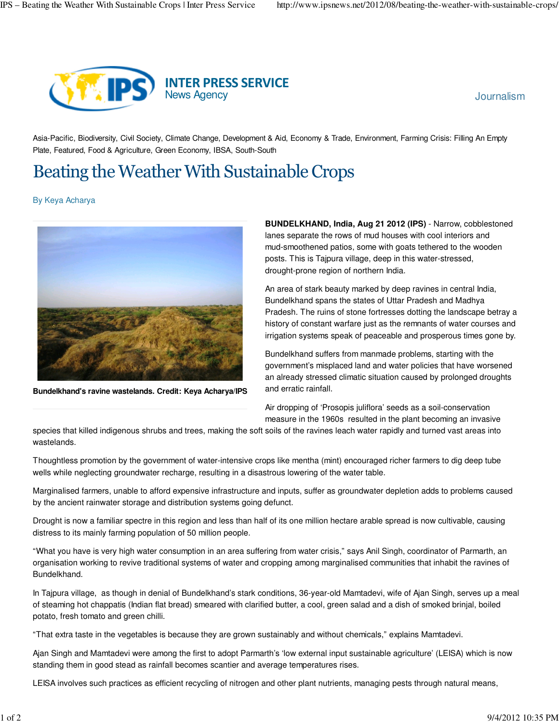

Asia-Pacific, Biodiversity, Civil Society, Climate Change, Development & Aid, Economy & Trade, Environment, Farming Crisis: Filling An Empty Plate, Featured, Food & Agriculture, Green Economy, IBSA, South-South

## Beating the Weather With Sustainable Crops

By Keya Acharya



**Bundelkhand's ravine wastelands. Credit: Keya Acharya/IPS**

**BUNDELKHAND, India, Aug 21 2012 (IPS)** - Narrow, cobblestoned lanes separate the rows of mud houses with cool interiors and mud-smoothened patios, some with goats tethered to the wooden posts. This is Tajpura village, deep in this water-stressed, drought-prone region of northern India.

An area of stark beauty marked by deep ravines in central India, Bundelkhand spans the states of Uttar Pradesh and Madhya Pradesh. The ruins of stone fortresses dotting the landscape betray a history of constant warfare just as the remnants of water courses and irrigation systems speak of peaceable and prosperous times gone by.

Bundelkhand suffers from manmade problems, starting with the government's misplaced land and water policies that have worsened an already stressed climatic situation caused by prolonged droughts and erratic rainfall.

Air dropping of 'Prosopis juliflora' seeds as a soil-conservation measure in the 1960s resulted in the plant becoming an invasive

species that killed indigenous shrubs and trees, making the soft soils of the ravines leach water rapidly and turned vast areas into wastelands.

Thoughtless promotion by the government of water-intensive crops like mentha (mint) encouraged richer farmers to dig deep tube wells while neglecting groundwater recharge, resulting in a disastrous lowering of the water table.

Marginalised farmers, unable to afford expensive infrastructure and inputs, suffer as groundwater depletion adds to problems caused by the ancient rainwater storage and distribution systems going defunct.

Drought is now a familiar spectre in this region and less than half of its one million hectare arable spread is now cultivable, causing distress to its mainly farming population of 50 million people.

"What you have is very high water consumption in an area suffering from water crisis," says Anil Singh, coordinator of Parmarth, an organisation working to revive traditional systems of water and cropping among marginalised communities that inhabit the ravines of Bundelkhand.

In Tajpura village, as though in denial of Bundelkhand's stark conditions, 36-year-old Mamtadevi, wife of Ajan Singh, serves up a meal of steaming hot chappatis (Indian flat bread) smeared with clarified butter, a cool, green salad and a dish of smoked brinjal, boiled potato, fresh tomato and green chilli.

"That extra taste in the vegetables is because they are grown sustainably and without chemicals," explains Mamtadevi.

Ajan Singh and Mamtadevi were among the first to adopt Parmarth's 'low external input sustainable agriculture' (LEISA) which is now standing them in good stead as rainfall becomes scantier and average temperatures rises.

LEISA involves such practices as efficient recycling of nitrogen and other plant nutrients, managing pests through natural means,